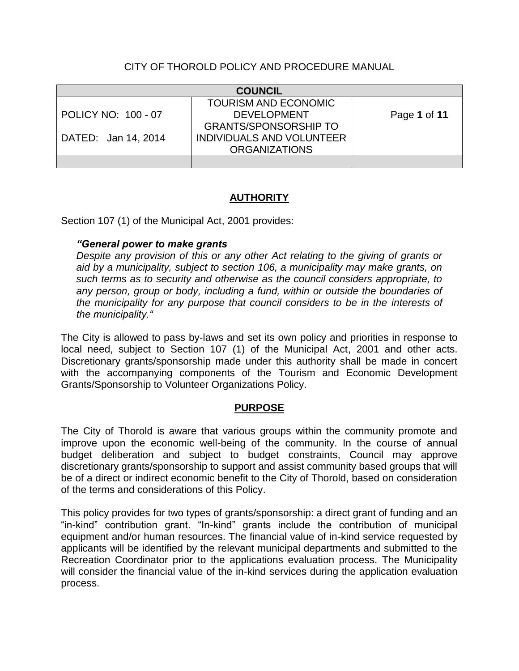## CITY OF THOROLD POLICY AND PROCEDURE MANUAL

| <b>COUNCIL</b>      |                                  |              |
|---------------------|----------------------------------|--------------|
|                     | <b>TOURISM AND ECONOMIC</b>      |              |
| POLICY NO: 100 - 07 | <b>DEVELOPMENT</b>               | Page 1 of 11 |
|                     | <b>GRANTS/SPONSORSHIP TO</b>     |              |
| DATED: Jan 14, 2014 | <b>INDIVIDUALS AND VOLUNTEER</b> |              |
|                     | <b>ORGANIZATIONS</b>             |              |
|                     |                                  |              |

# **AUTHORITY**

Section 107 (1) of the Municipal Act, 2001 provides:

## *"General power to make grants*

*Despite any provision of this or any other Act relating to the giving of grants or aid by a municipality, subject to section 106, a municipality may make grants, on such terms as to security and otherwise as the council considers appropriate, to any person, group or body, including a fund, within or outside the boundaries of the municipality for any purpose that council considers to be in the interests of the municipality."*

The City is allowed to pass by-laws and set its own policy and priorities in response to local need, subject to Section 107 (1) of the Municipal Act, 2001 and other acts. Discretionary grants/sponsorship made under this authority shall be made in concert with the accompanying components of the Tourism and Economic Development Grants/Sponsorship to Volunteer Organizations Policy.

## **PURPOSE**

The City of Thorold is aware that various groups within the community promote and improve upon the economic well-being of the community. In the course of annual budget deliberation and subject to budget constraints, Council may approve discretionary grants/sponsorship to support and assist community based groups that will be of a direct or indirect economic benefit to the City of Thorold, based on consideration of the terms and considerations of this Policy.

This policy provides for two types of grants/sponsorship: a direct grant of funding and an "in-kind" contribution grant. "In-kind" grants include the contribution of municipal equipment and/or human resources. The financial value of in-kind service requested by applicants will be identified by the relevant municipal departments and submitted to the Recreation Coordinator prior to the applications evaluation process. The Municipality will consider the financial value of the in-kind services during the application evaluation process.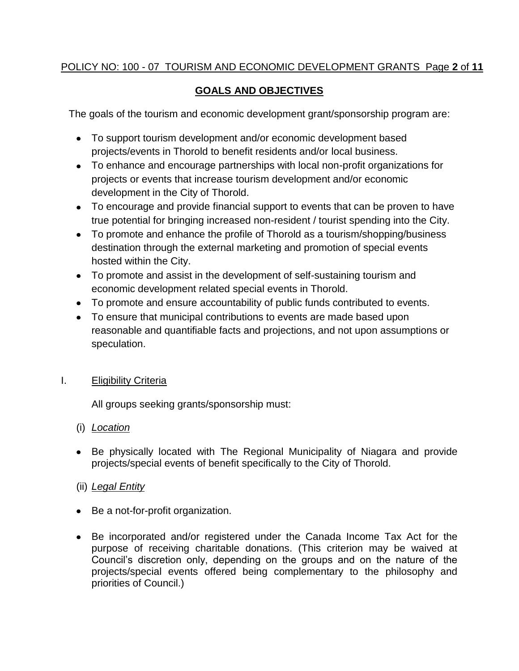# POLICY NO: 100 - 07 TOURISM AND ECONOMIC DEVELOPMENT GRANTS Page **2** of **11**

# **GOALS AND OBJECTIVES**

The goals of the tourism and economic development grant/sponsorship program are:

- To support tourism development and/or economic development based projects/events in Thorold to benefit residents and/or local business.
- To enhance and encourage partnerships with local non-profit organizations for projects or events that increase tourism development and/or economic development in the City of Thorold.
- To encourage and provide financial support to events that can be proven to have true potential for bringing increased non-resident / tourist spending into the City.
- To promote and enhance the profile of Thorold as a tourism/shopping/business destination through the external marketing and promotion of special events hosted within the City.
- To promote and assist in the development of self-sustaining tourism and economic development related special events in Thorold.
- To promote and ensure accountability of public funds contributed to events.
- To ensure that municipal contributions to events are made based upon reasonable and quantifiable facts and projections, and not upon assumptions or speculation.

# I. Eligibility Criteria

All groups seeking grants/sponsorship must:

# (i) *Location*

Be physically located with The Regional Municipality of Niagara and provide projects/special events of benefit specifically to the City of Thorold.

# (ii) *Legal Entity*

- Be a not-for-profit organization.
- Be incorporated and/or registered under the Canada Income Tax Act for the purpose of receiving charitable donations. (This criterion may be waived at Council's discretion only, depending on the groups and on the nature of the projects/special events offered being complementary to the philosophy and priorities of Council.)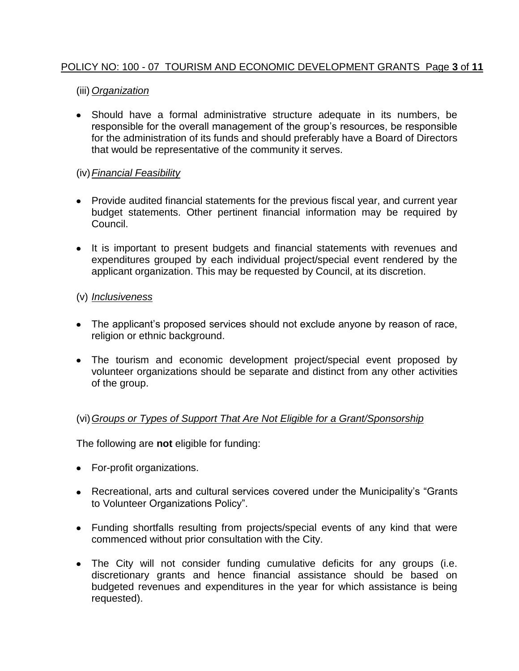## POLICY NO: 100 - 07 TOURISM AND ECONOMIC DEVELOPMENT GRANTS Page **3** of **11**

## (iii) *Organization*

Should have a formal administrative structure adequate in its numbers, be responsible for the overall management of the group's resources, be responsible for the administration of its funds and should preferably have a Board of Directors that would be representative of the community it serves.

## (iv)*Financial Feasibility*

- Provide audited financial statements for the previous fiscal year, and current year budget statements. Other pertinent financial information may be required by Council.
- It is important to present budgets and financial statements with revenues and expenditures grouped by each individual project/special event rendered by the applicant organization. This may be requested by Council, at its discretion.

## (v) *Inclusiveness*

- The applicant's proposed services should not exclude anyone by reason of race, religion or ethnic background.
- The tourism and economic development project/special event proposed by volunteer organizations should be separate and distinct from any other activities of the group.

# (vi)*Groups or Types of Support That Are Not Eligible for a Grant/Sponsorship*

The following are **not** eligible for funding:

- For-profit organizations.
- Recreational, arts and cultural services covered under the Municipality's "Grants to Volunteer Organizations Policy".
- Funding shortfalls resulting from projects/special events of any kind that were commenced without prior consultation with the City.
- The City will not consider funding cumulative deficits for any groups (i.e. discretionary grants and hence financial assistance should be based on budgeted revenues and expenditures in the year for which assistance is being requested).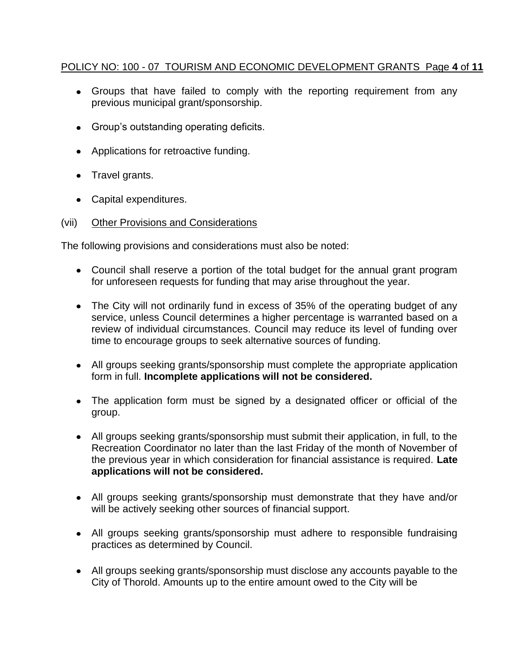## POLICY NO: 100 - 07 TOURISM AND ECONOMIC DEVELOPMENT GRANTS Page **4** of **11**

- Groups that have failed to comply with the reporting requirement from any previous municipal grant/sponsorship.
- Group's outstanding operating deficits.
- Applications for retroactive funding.
- Travel grants.
- Capital expenditures.

#### (vii) Other Provisions and Considerations

The following provisions and considerations must also be noted:

- Council shall reserve a portion of the total budget for the annual grant program for unforeseen requests for funding that may arise throughout the year.
- The City will not ordinarily fund in excess of 35% of the operating budget of any service, unless Council determines a higher percentage is warranted based on a review of individual circumstances. Council may reduce its level of funding over time to encourage groups to seek alternative sources of funding.
- All groups seeking grants/sponsorship must complete the appropriate application form in full. **Incomplete applications will not be considered.**
- The application form must be signed by a designated officer or official of the group.
- All groups seeking grants/sponsorship must submit their application, in full, to the Recreation Coordinator no later than the last Friday of the month of November of the previous year in which consideration for financial assistance is required. **Late applications will not be considered.**
- All groups seeking grants/sponsorship must demonstrate that they have and/or will be actively seeking other sources of financial support.
- All groups seeking grants/sponsorship must adhere to responsible fundraising practices as determined by Council.
- All groups seeking grants/sponsorship must disclose any accounts payable to the City of Thorold. Amounts up to the entire amount owed to the City will be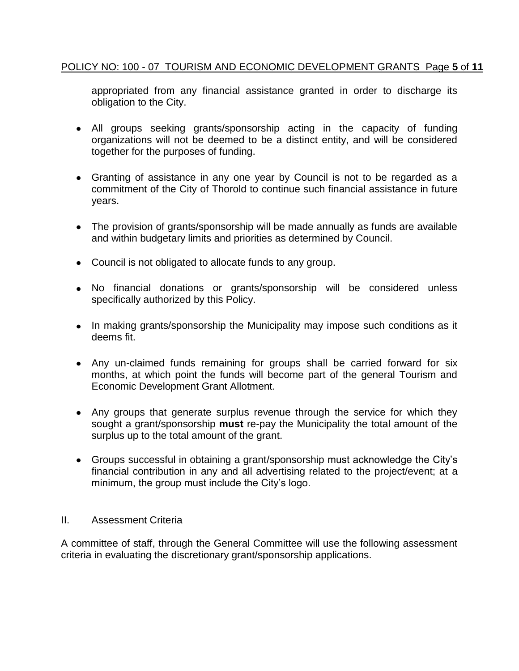## POLICY NO: 100 - 07 TOURISM AND ECONOMIC DEVELOPMENT GRANTS Page **5** of **11**

appropriated from any financial assistance granted in order to discharge its obligation to the City.

- All groups seeking grants/sponsorship acting in the capacity of funding organizations will not be deemed to be a distinct entity, and will be considered together for the purposes of funding.
- Granting of assistance in any one year by Council is not to be regarded as a commitment of the City of Thorold to continue such financial assistance in future years.
- The provision of grants/sponsorship will be made annually as funds are available and within budgetary limits and priorities as determined by Council.
- Council is not obligated to allocate funds to any group.
- No financial donations or grants/sponsorship will be considered unless specifically authorized by this Policy.
- In making grants/sponsorship the Municipality may impose such conditions as it deems fit.
- Any un-claimed funds remaining for groups shall be carried forward for six months, at which point the funds will become part of the general Tourism and Economic Development Grant Allotment.
- Any groups that generate surplus revenue through the service for which they sought a grant/sponsorship **must** re-pay the Municipality the total amount of the surplus up to the total amount of the grant.
- Groups successful in obtaining a grant/sponsorship must acknowledge the City's financial contribution in any and all advertising related to the project/event; at a minimum, the group must include the City's logo.

## II. Assessment Criteria

A committee of staff, through the General Committee will use the following assessment criteria in evaluating the discretionary grant/sponsorship applications.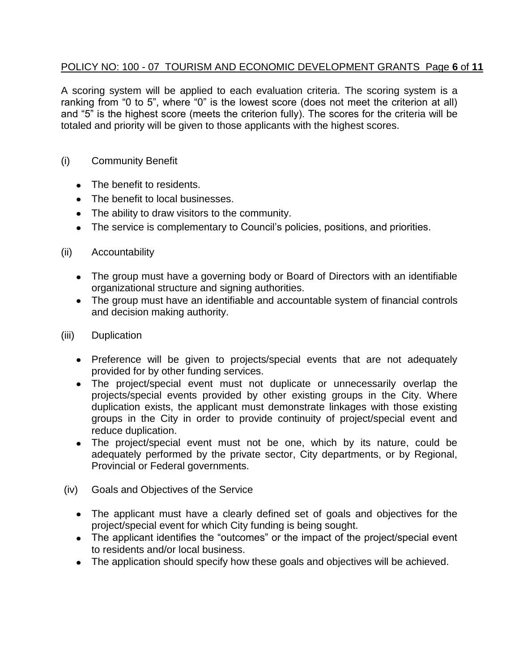## POLICY NO: 100 - 07 TOURISM AND ECONOMIC DEVELOPMENT GRANTS Page **6** of **11**

A scoring system will be applied to each evaluation criteria. The scoring system is a ranking from "0 to 5", where "0" is the lowest score (does not meet the criterion at all) and "5" is the highest score (meets the criterion fully). The scores for the criteria will be totaled and priority will be given to those applicants with the highest scores.

## (i) Community Benefit

- The benefit to residents.
- The benefit to local businesses.
- The ability to draw visitors to the community.
- The service is complementary to Council's policies, positions, and priorities.

#### (ii) Accountability

- The group must have a governing body or Board of Directors with an identifiable organizational structure and signing authorities.
- The group must have an identifiable and accountable system of financial controls and decision making authority.
- (iii) Duplication
	- Preference will be given to projects/special events that are not adequately provided for by other funding services.
	- The project/special event must not duplicate or unnecessarily overlap the projects/special events provided by other existing groups in the City. Where duplication exists, the applicant must demonstrate linkages with those existing groups in the City in order to provide continuity of project/special event and reduce duplication.
	- The project/special event must not be one, which by its nature, could be adequately performed by the private sector, City departments, or by Regional, Provincial or Federal governments.
- (iv) Goals and Objectives of the Service
	- The applicant must have a clearly defined set of goals and objectives for the project/special event for which City funding is being sought.
	- The applicant identifies the "outcomes" or the impact of the project/special event to residents and/or local business.
	- The application should specify how these goals and objectives will be achieved.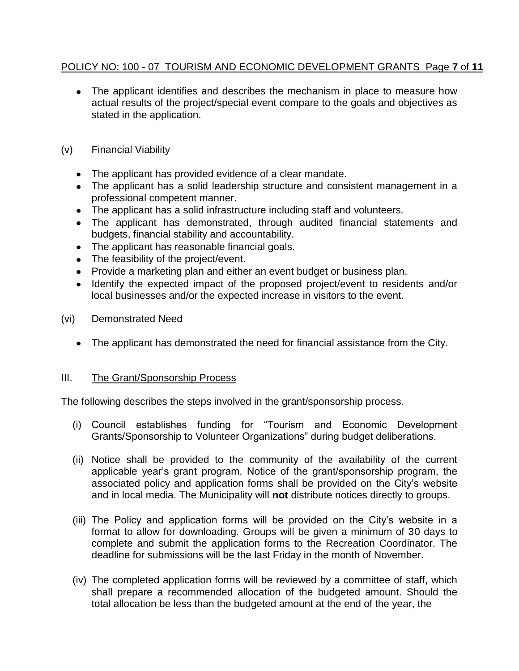# POLICY NO: 100 - 07 TOURISM AND ECONOMIC DEVELOPMENT GRANTS Page **7** of **11**

- The applicant identifies and describes the mechanism in place to measure how actual results of the project/special event compare to the goals and objectives as stated in the application.
- (v) Financial Viability
	- The applicant has provided evidence of a clear mandate.
	- The applicant has a solid leadership structure and consistent management in a professional competent manner.
	- The applicant has a solid infrastructure including staff and volunteers.
	- The applicant has demonstrated, through audited financial statements and budgets, financial stability and accountability.
	- The applicant has reasonable financial goals.
	- The feasibility of the project/event.
	- Provide a marketing plan and either an event budget or business plan.
	- Identify the expected impact of the proposed project/event to residents and/or local businesses and/or the expected increase in visitors to the event.
- (vi) Demonstrated Need
	- The applicant has demonstrated the need for financial assistance from the City.

## III. The Grant/Sponsorship Process

The following describes the steps involved in the grant/sponsorship process.

- (i) Council establishes funding for "Tourism and Economic Development Grants/Sponsorship to Volunteer Organizations" during budget deliberations.
- (ii) Notice shall be provided to the community of the availability of the current applicable year's grant program. Notice of the grant/sponsorship program, the associated policy and application forms shall be provided on the City's website and in local media. The Municipality will **not** distribute notices directly to groups.
- (iii) The Policy and application forms will be provided on the City's website in a format to allow for downloading. Groups will be given a minimum of 30 days to complete and submit the application forms to the Recreation Coordinator. The deadline for submissions will be the last Friday in the month of November.
- (iv) The completed application forms will be reviewed by a committee of staff, which shall prepare a recommended allocation of the budgeted amount. Should the total allocation be less than the budgeted amount at the end of the year, the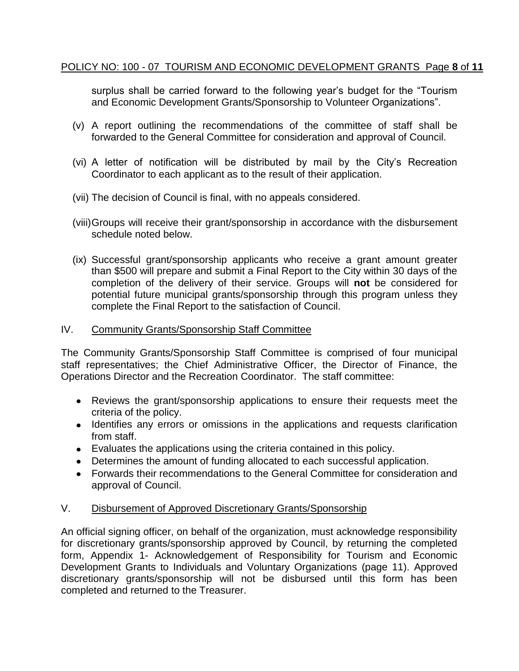## POLICY NO: 100 - 07 TOURISM AND ECONOMIC DEVELOPMENT GRANTS Page **8** of **11**

surplus shall be carried forward to the following year's budget for the "Tourism and Economic Development Grants/Sponsorship to Volunteer Organizations".

- (v) A report outlining the recommendations of the committee of staff shall be forwarded to the General Committee for consideration and approval of Council.
- (vi) A letter of notification will be distributed by mail by the City's Recreation Coordinator to each applicant as to the result of their application.
- (vii) The decision of Council is final, with no appeals considered.
- (viii)Groups will receive their grant/sponsorship in accordance with the disbursement schedule noted below.
- (ix) Successful grant/sponsorship applicants who receive a grant amount greater than \$500 will prepare and submit a Final Report to the City within 30 days of the completion of the delivery of their service. Groups will **not** be considered for potential future municipal grants/sponsorship through this program unless they complete the Final Report to the satisfaction of Council.

#### IV. Community Grants/Sponsorship Staff Committee

The Community Grants/Sponsorship Staff Committee is comprised of four municipal staff representatives; the Chief Administrative Officer, the Director of Finance, the Operations Director and the Recreation Coordinator. The staff committee:

- Reviews the grant/sponsorship applications to ensure their requests meet the criteria of the policy.
- Identifies any errors or omissions in the applications and requests clarification from staff.
- Evaluates the applications using the criteria contained in this policy.
- Determines the amount of funding allocated to each successful application.
- Forwards their recommendations to the General Committee for consideration and approval of Council.

## V. Disbursement of Approved Discretionary Grants/Sponsorship

An official signing officer, on behalf of the organization, must acknowledge responsibility for discretionary grants/sponsorship approved by Council, by returning the completed form, Appendix 1- Acknowledgement of Responsibility for Tourism and Economic Development Grants to Individuals and Voluntary Organizations (page 11). Approved discretionary grants/sponsorship will not be disbursed until this form has been completed and returned to the Treasurer.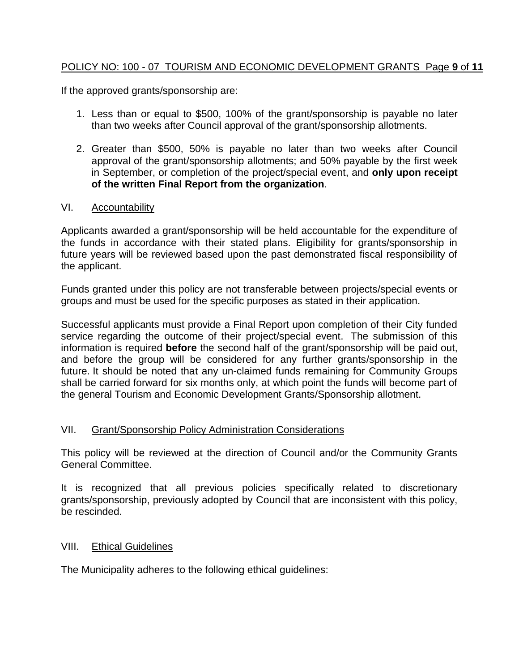## POLICY NO: 100 - 07 TOURISM AND ECONOMIC DEVELOPMENT GRANTS Page **9** of **11**

If the approved grants/sponsorship are:

- 1. Less than or equal to \$500, 100% of the grant/sponsorship is payable no later than two weeks after Council approval of the grant/sponsorship allotments.
- 2. Greater than \$500, 50% is payable no later than two weeks after Council approval of the grant/sponsorship allotments; and 50% payable by the first week in September, or completion of the project/special event, and **only upon receipt of the written Final Report from the organization**.

#### VI. Accountability

Applicants awarded a grant/sponsorship will be held accountable for the expenditure of the funds in accordance with their stated plans. Eligibility for grants/sponsorship in future years will be reviewed based upon the past demonstrated fiscal responsibility of the applicant.

Funds granted under this policy are not transferable between projects/special events or groups and must be used for the specific purposes as stated in their application.

Successful applicants must provide a Final Report upon completion of their City funded service regarding the outcome of their project/special event. The submission of this information is required **before** the second half of the grant/sponsorship will be paid out, and before the group will be considered for any further grants/sponsorship in the future. It should be noted that any un-claimed funds remaining for Community Groups shall be carried forward for six months only, at which point the funds will become part of the general Tourism and Economic Development Grants/Sponsorship allotment.

## VII. Grant/Sponsorship Policy Administration Considerations

This policy will be reviewed at the direction of Council and/or the Community Grants General Committee.

It is recognized that all previous policies specifically related to discretionary grants/sponsorship, previously adopted by Council that are inconsistent with this policy, be rescinded.

#### VIII. Ethical Guidelines

The Municipality adheres to the following ethical guidelines: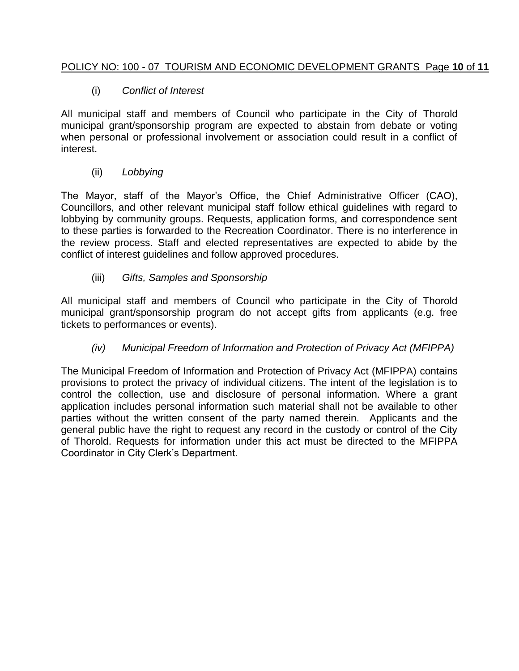# POLICY NO: 100 - 07 TOURISM AND ECONOMIC DEVELOPMENT GRANTS Page **10** of **11**

# (i) *Conflict of Interest*

All municipal staff and members of Council who participate in the City of Thorold municipal grant/sponsorship program are expected to abstain from debate or voting when personal or professional involvement or association could result in a conflict of interest.

## (ii) *Lobbying*

The Mayor, staff of the Mayor's Office, the Chief Administrative Officer (CAO), Councillors, and other relevant municipal staff follow ethical guidelines with regard to lobbying by community groups. Requests, application forms, and correspondence sent to these parties is forwarded to the Recreation Coordinator. There is no interference in the review process. Staff and elected representatives are expected to abide by the conflict of interest guidelines and follow approved procedures.

## (iii) *Gifts, Samples and Sponsorship*

All municipal staff and members of Council who participate in the City of Thorold municipal grant/sponsorship program do not accept gifts from applicants (e.g. free tickets to performances or events).

## *(iv) Municipal Freedom of Information and Protection of Privacy Act (MFIPPA)*

The Municipal Freedom of Information and Protection of Privacy Act (MFIPPA) contains provisions to protect the privacy of individual citizens. The intent of the legislation is to control the collection, use and disclosure of personal information. Where a grant application includes personal information such material shall not be available to other parties without the written consent of the party named therein. Applicants and the general public have the right to request any record in the custody or control of the City of Thorold. Requests for information under this act must be directed to the MFIPPA Coordinator in City Clerk's Department.